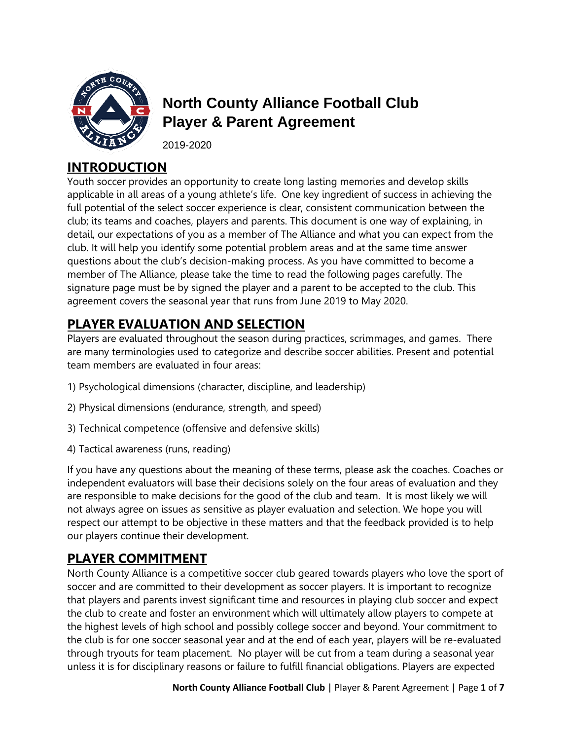

# **North County Alliance Football Club Player & Parent Agreement**

2019-2020

#### **INTRODUCTION**

Youth soccer provides an opportunity to create long lasting memories and develop skills applicable in all areas of a young athlete's life. One key ingredient of success in achieving the full potential of the select soccer experience is clear, consistent communication between the club; its teams and coaches, players and parents. This document is one way of explaining, in detail, our expectations of you as a member of The Alliance and what you can expect from the club. It will help you identify some potential problem areas and at the same time answer questions about the club's decision-making process. As you have committed to become a member of The Alliance, please take the time to read the following pages carefully. The signature page must be by signed the player and a parent to be accepted to the club. This agreement covers the seasonal year that runs from June 2019 to May 2020.

# **PLAYER EVALUATION AND SELECTION**

Players are evaluated throughout the season during practices, scrimmages, and games. There are many terminologies used to categorize and describe soccer abilities. Present and potential team members are evaluated in four areas:

- 1) Psychological dimensions (character, discipline, and leadership)
- 2) Physical dimensions (endurance, strength, and speed)
- 3) Technical competence (offensive and defensive skills)
- 4) Tactical awareness (runs, reading)

If you have any questions about the meaning of these terms, please ask the coaches. Coaches or independent evaluators will base their decisions solely on the four areas of evaluation and they are responsible to make decisions for the good of the club and team. It is most likely we will not always agree on issues as sensitive as player evaluation and selection. We hope you will respect our attempt to be objective in these matters and that the feedback provided is to help our players continue their development.

### **PLAYER COMMITMENT**

North County Alliance is a competitive soccer club geared towards players who love the sport of soccer and are committed to their development as soccer players. It is important to recognize that players and parents invest significant time and resources in playing club soccer and expect the club to create and foster an environment which will ultimately allow players to compete at the highest levels of high school and possibly college soccer and beyond. Your commitment to the club is for one soccer seasonal year and at the end of each year, players will be re-evaluated through tryouts for team placement. No player will be cut from a team during a seasonal year unless it is for disciplinary reasons or failure to fulfill financial obligations. Players are expected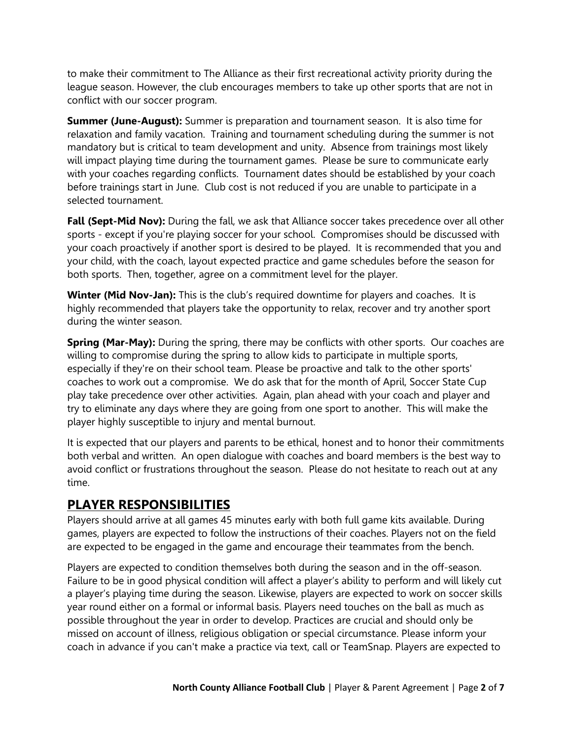to make their commitment to The Alliance as their first recreational activity priority during the league season. However, the club encourages members to take up other sports that are not in conflict with our soccer program.

**Summer (June-August):** Summer is preparation and tournament season. It is also time for relaxation and family vacation. Training and tournament scheduling during the summer is not mandatory but is critical to team development and unity. Absence from trainings most likely will impact playing time during the tournament games. Please be sure to communicate early with your coaches regarding conflicts. Tournament dates should be established by your coach before trainings start in June. Club cost is not reduced if you are unable to participate in a selected tournament.

**Fall (Sept-Mid Nov):** During the fall, we ask that Alliance soccer takes precedence over all other sports - except if you're playing soccer for your school. Compromises should be discussed with your coach proactively if another sport is desired to be played. It is recommended that you and your child, with the coach, layout expected practice and game schedules before the season for both sports. Then, together, agree on a commitment level for the player.

**Winter (Mid Nov-Jan):** This is the club's required downtime for players and coaches. It is highly recommended that players take the opportunity to relax, recover and try another sport during the winter season.

**Spring (Mar-May):** During the spring, there may be conflicts with other sports. Our coaches are willing to compromise during the spring to allow kids to participate in multiple sports, especially if they're on their school team. Please be proactive and talk to the other sports' coaches to work out a compromise. We do ask that for the month of April, Soccer State Cup play take precedence over other activities. Again, plan ahead with your coach and player and try to eliminate any days where they are going from one sport to another. This will make the player highly susceptible to injury and mental burnout.

It is expected that our players and parents to be ethical, honest and to honor their commitments both verbal and written. An open dialogue with coaches and board members is the best way to avoid conflict or frustrations throughout the season. Please do not hesitate to reach out at any time.

#### **PLAYER RESPONSIBILITIES**

Players should arrive at all games 45 minutes early with both full game kits available. During games, players are expected to follow the instructions of their coaches. Players not on the field are expected to be engaged in the game and encourage their teammates from the bench.

Players are expected to condition themselves both during the season and in the off-season. Failure to be in good physical condition will affect a player's ability to perform and will likely cut a player's playing time during the season. Likewise, players are expected to work on soccer skills year round either on a formal or informal basis. Players need touches on the ball as much as possible throughout the year in order to develop. Practices are crucial and should only be missed on account of illness, religious obligation or special circumstance. Please inform your coach in advance if you can't make a practice via text, call or TeamSnap. Players are expected to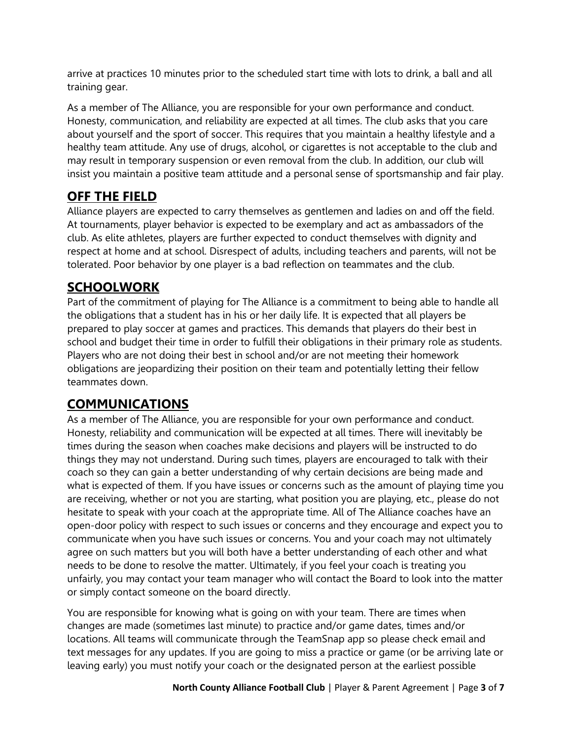arrive at practices 10 minutes prior to the scheduled start time with lots to drink, a ball and all training gear.

As a member of The Alliance, you are responsible for your own performance and conduct. Honesty, communication, and reliability are expected at all times. The club asks that you care about yourself and the sport of soccer. This requires that you maintain a healthy lifestyle and a healthy team attitude. Any use of drugs, alcohol, or cigarettes is not acceptable to the club and may result in temporary suspension or even removal from the club. In addition, our club will insist you maintain a positive team attitude and a personal sense of sportsmanship and fair play.

## **OFF THE FIELD**

Alliance players are expected to carry themselves as gentlemen and ladies on and off the field. At tournaments, player behavior is expected to be exemplary and act as ambassadors of the club. As elite athletes, players are further expected to conduct themselves with dignity and respect at home and at school. Disrespect of adults, including teachers and parents, will not be tolerated. Poor behavior by one player is a bad reflection on teammates and the club.

## **SCHOOLWORK**

Part of the commitment of playing for The Alliance is a commitment to being able to handle all the obligations that a student has in his or her daily life. It is expected that all players be prepared to play soccer at games and practices. This demands that players do their best in school and budget their time in order to fulfill their obligations in their primary role as students. Players who are not doing their best in school and/or are not meeting their homework obligations are jeopardizing their position on their team and potentially letting their fellow teammates down.

# **COMMUNICATIONS**

As a member of The Alliance, you are responsible for your own performance and conduct. Honesty, reliability and communication will be expected at all times. There will inevitably be times during the season when coaches make decisions and players will be instructed to do things they may not understand. During such times, players are encouraged to talk with their coach so they can gain a better understanding of why certain decisions are being made and what is expected of them. If you have issues or concerns such as the amount of playing time you are receiving, whether or not you are starting, what position you are playing, etc., please do not hesitate to speak with your coach at the appropriate time. All of The Alliance coaches have an open-door policy with respect to such issues or concerns and they encourage and expect you to communicate when you have such issues or concerns. You and your coach may not ultimately agree on such matters but you will both have a better understanding of each other and what needs to be done to resolve the matter. Ultimately, if you feel your coach is treating you unfairly, you may contact your team manager who will contact the Board to look into the matter or simply contact someone on the board directly.

You are responsible for knowing what is going on with your team. There are times when changes are made (sometimes last minute) to practice and/or game dates, times and/or locations. All teams will communicate through the TeamSnap app so please check email and text messages for any updates. If you are going to miss a practice or game (or be arriving late or leaving early) you must notify your coach or the designated person at the earliest possible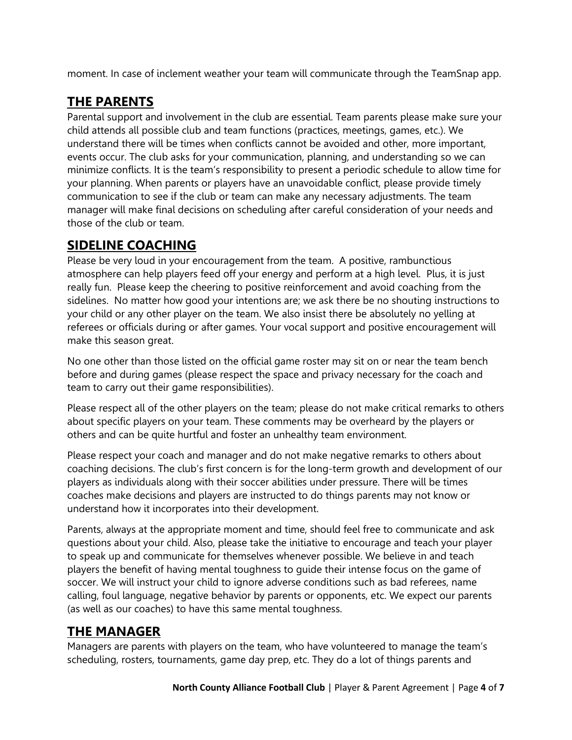moment. In case of inclement weather your team will communicate through the TeamSnap app.

### **THE PARENTS**

Parental support and involvement in the club are essential. Team parents please make sure your child attends all possible club and team functions (practices, meetings, games, etc.). We understand there will be times when conflicts cannot be avoided and other, more important, events occur. The club asks for your communication, planning, and understanding so we can minimize conflicts. It is the team's responsibility to present a periodic schedule to allow time for your planning. When parents or players have an unavoidable conflict, please provide timely communication to see if the club or team can make any necessary adjustments. The team manager will make final decisions on scheduling after careful consideration of your needs and those of the club or team.

#### **SIDELINE COACHING**

Please be very loud in your encouragement from the team. A positive, rambunctious atmosphere can help players feed off your energy and perform at a high level. Plus, it is just really fun. Please keep the cheering to positive reinforcement and avoid coaching from the sidelines. No matter how good your intentions are; we ask there be no shouting instructions to your child or any other player on the team. We also insist there be absolutely no yelling at referees or officials during or after games. Your vocal support and positive encouragement will make this season great.

No one other than those listed on the official game roster may sit on or near the team bench before and during games (please respect the space and privacy necessary for the coach and team to carry out their game responsibilities).

Please respect all of the other players on the team; please do not make critical remarks to others about specific players on your team. These comments may be overheard by the players or others and can be quite hurtful and foster an unhealthy team environment.

Please respect your coach and manager and do not make negative remarks to others about coaching decisions. The club's first concern is for the long-term growth and development of our players as individuals along with their soccer abilities under pressure. There will be times coaches make decisions and players are instructed to do things parents may not know or understand how it incorporates into their development.

Parents, always at the appropriate moment and time, should feel free to communicate and ask questions about your child. Also, please take the initiative to encourage and teach your player to speak up and communicate for themselves whenever possible. We believe in and teach players the benefit of having mental toughness to guide their intense focus on the game of soccer. We will instruct your child to ignore adverse conditions such as bad referees, name calling, foul language, negative behavior by parents or opponents, etc. We expect our parents (as well as our coaches) to have this same mental toughness.

#### **THE MANAGER**

Managers are parents with players on the team, who have volunteered to manage the team's scheduling, rosters, tournaments, game day prep, etc. They do a lot of things parents and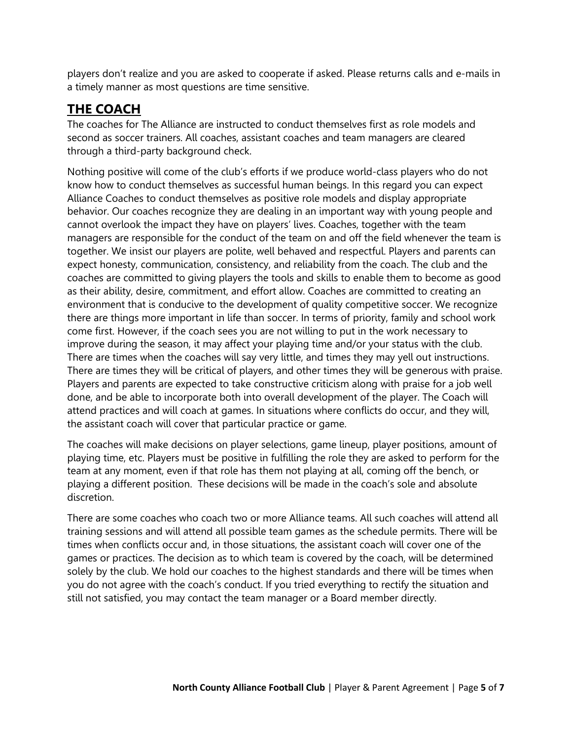players don't realize and you are asked to cooperate if asked. Please returns calls and e-mails in a timely manner as most questions are time sensitive.

#### **THE COACH**

The coaches for The Alliance are instructed to conduct themselves first as role models and second as soccer trainers. All coaches, assistant coaches and team managers are cleared through a third-party background check.

Nothing positive will come of the club's efforts if we produce world-class players who do not know how to conduct themselves as successful human beings. In this regard you can expect Alliance Coaches to conduct themselves as positive role models and display appropriate behavior. Our coaches recognize they are dealing in an important way with young people and cannot overlook the impact they have on players' lives. Coaches, together with the team managers are responsible for the conduct of the team on and off the field whenever the team is together. We insist our players are polite, well behaved and respectful. Players and parents can expect honesty, communication, consistency, and reliability from the coach. The club and the coaches are committed to giving players the tools and skills to enable them to become as good as their ability, desire, commitment, and effort allow. Coaches are committed to creating an environment that is conducive to the development of quality competitive soccer. We recognize there are things more important in life than soccer. In terms of priority, family and school work come first. However, if the coach sees you are not willing to put in the work necessary to improve during the season, it may affect your playing time and/or your status with the club. There are times when the coaches will say very little, and times they may yell out instructions. There are times they will be critical of players, and other times they will be generous with praise. Players and parents are expected to take constructive criticism along with praise for a job well done, and be able to incorporate both into overall development of the player. The Coach will attend practices and will coach at games. In situations where conflicts do occur, and they will, the assistant coach will cover that particular practice or game.

The coaches will make decisions on player selections, game lineup, player positions, amount of playing time, etc. Players must be positive in fulfilling the role they are asked to perform for the team at any moment, even if that role has them not playing at all, coming off the bench, or playing a different position. These decisions will be made in the coach's sole and absolute discretion.

There are some coaches who coach two or more Alliance teams. All such coaches will attend all training sessions and will attend all possible team games as the schedule permits. There will be times when conflicts occur and, in those situations, the assistant coach will cover one of the games or practices. The decision as to which team is covered by the coach, will be determined solely by the club. We hold our coaches to the highest standards and there will be times when you do not agree with the coach's conduct. If you tried everything to rectify the situation and still not satisfied, you may contact the team manager or a Board member directly.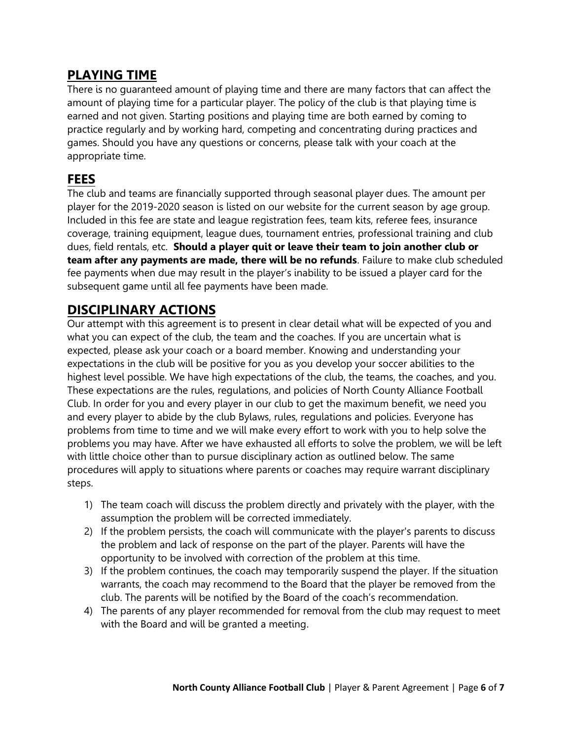#### **PLAYING TIME**

There is no guaranteed amount of playing time and there are many factors that can affect the amount of playing time for a particular player. The policy of the club is that playing time is earned and not given. Starting positions and playing time are both earned by coming to practice regularly and by working hard, competing and concentrating during practices and games. Should you have any questions or concerns, please talk with your coach at the appropriate time.

#### **FEES**

The club and teams are financially supported through seasonal player dues. The amount per player for the 2019-2020 season is listed on our website for the current season by age group. Included in this fee are state and league registration fees, team kits, referee fees, insurance coverage, training equipment, league dues, tournament entries, professional training and club dues, field rentals, etc. **Should a player quit or leave their team to join another club or team after any payments are made, there will be no refunds**. Failure to make club scheduled fee payments when due may result in the player's inability to be issued a player card for the subsequent game until all fee payments have been made.

#### **DISCIPLINARY ACTIONS**

Our attempt with this agreement is to present in clear detail what will be expected of you and what you can expect of the club, the team and the coaches. If you are uncertain what is expected, please ask your coach or a board member. Knowing and understanding your expectations in the club will be positive for you as you develop your soccer abilities to the highest level possible. We have high expectations of the club, the teams, the coaches, and you. These expectations are the rules, regulations, and policies of North County Alliance Football Club. In order for you and every player in our club to get the maximum benefit, we need you and every player to abide by the club Bylaws, rules, regulations and policies. Everyone has problems from time to time and we will make every effort to work with you to help solve the problems you may have. After we have exhausted all efforts to solve the problem, we will be left with little choice other than to pursue disciplinary action as outlined below. The same procedures will apply to situations where parents or coaches may require warrant disciplinary steps.

- 1) The team coach will discuss the problem directly and privately with the player, with the assumption the problem will be corrected immediately.
- 2) If the problem persists, the coach will communicate with the player's parents to discuss the problem and lack of response on the part of the player. Parents will have the opportunity to be involved with correction of the problem at this time.
- 3) If the problem continues, the coach may temporarily suspend the player. If the situation warrants, the coach may recommend to the Board that the player be removed from the club. The parents will be notified by the Board of the coach's recommendation.
- 4) The parents of any player recommended for removal from the club may request to meet with the Board and will be granted a meeting.